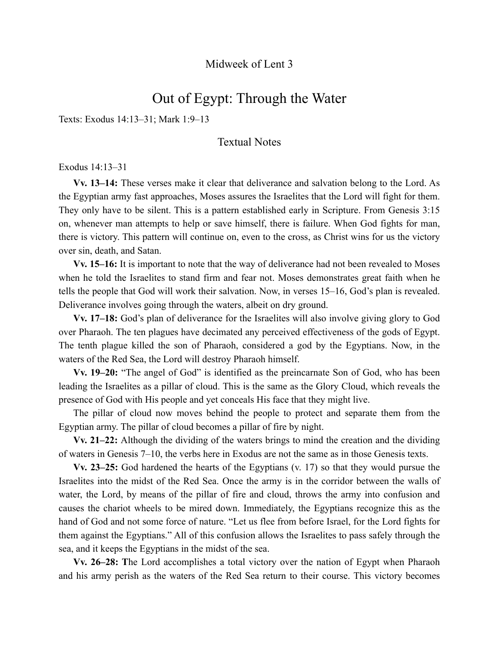## Midweek of Lent 3

# Out of Egypt: Through the Water

Texts: Exodus 14:13–31; Mark 1:9–13

## Textual Notes

Exodus 14:13–31

**Vv. 13–14:** These verses make it clear that deliverance and salvation belong to the Lord. As the Egyptian army fast approaches, Moses assures the Israelites that the Lord will fight for them. They only have to be silent. This is a pattern established early in Scripture. From Genesis 3:15 on, whenever man attempts to help or save himself, there is failure. When God fights for man, there is victory. This pattern will continue on, even to the cross, as Christ wins for us the victory over sin, death, and Satan.

**Vv. 15–16:** It is important to note that the way of deliverance had not been revealed to Moses when he told the Israelites to stand firm and fear not. Moses demonstrates great faith when he tells the people that God will work their salvation. Now, in verses 15–16, God's plan is revealed. Deliverance involves going through the waters, albeit on dry ground.

**Vv. 17–18:** God's plan of deliverance for the Israelites will also involve giving glory to God over Pharaoh. The ten plagues have decimated any perceived effectiveness of the gods of Egypt. The tenth plague killed the son of Pharaoh, considered a god by the Egyptians. Now, in the waters of the Red Sea, the Lord will destroy Pharaoh himself.

**Vv. 19–20:** "The angel of God" is identified as the preincarnate Son of God, who has been leading the Israelites as a pillar of cloud. This is the same as the Glory Cloud, which reveals the presence of God with His people and yet conceals His face that they might live.

The pillar of cloud now moves behind the people to protect and separate them from the Egyptian army. The pillar of cloud becomes a pillar of fire by night.

**Vv. 21–22:** Although the dividing of the waters brings to mind the creation and the dividing of waters in Genesis 7–10, the verbs here in Exodus are not the same as in those Genesis texts.

**Vv. 23–25:** God hardened the hearts of the Egyptians (v. 17) so that they would pursue the Israelites into the midst of the Red Sea. Once the army is in the corridor between the walls of water, the Lord, by means of the pillar of fire and cloud, throws the army into confusion and causes the chariot wheels to be mired down. Immediately, the Egyptians recognize this as the hand of God and not some force of nature. "Let us flee from before Israel, for the Lord fights for them against the Egyptians." All of this confusion allows the Israelites to pass safely through the sea, and it keeps the Egyptians in the midst of the sea.

**Vv. 26–28: T**he Lord accomplishes a total victory over the nation of Egypt when Pharaoh and his army perish as the waters of the Red Sea return to their course. This victory becomes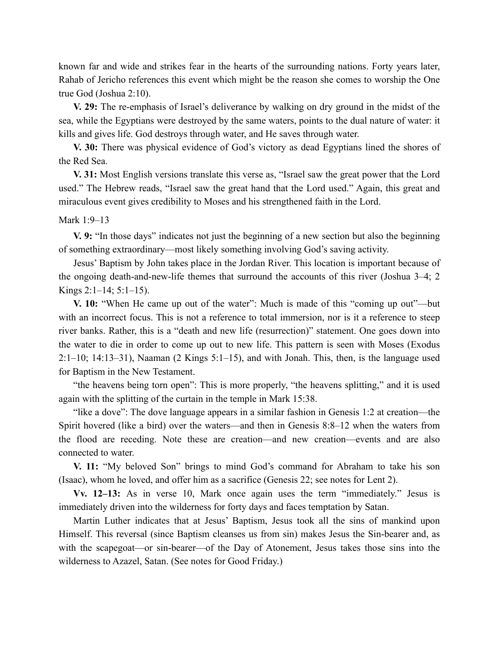known far and wide and strikes fear in the hearts of the surrounding nations. Forty years later, Rahab of Jericho references this event which might be the reason she comes to worship the One true God (Joshua 2:10).

**V. 29:** The re-emphasis of Israel's deliverance by walking on dry ground in the midst of the sea, while the Egyptians were destroyed by the same waters, points to the dual nature of water: it kills and gives life. God destroys through water, and He saves through water.

**V. 30:** There was physical evidence of God's victory as dead Egyptians lined the shores of the Red Sea.

**V. 31:** Most English versions translate this verse as, "Israel saw the great power that the Lord used." The Hebrew reads, "Israel saw the great hand that the Lord used." Again, this great and miraculous event gives credibility to Moses and his strengthened faith in the Lord.

#### Mark 1:9–13

**V. 9:** "In those days" indicates not just the beginning of a new section but also the beginning of something extraordinary—most likely something involving God's saving activity.

Jesus' Baptism by John takes place in the Jordan River. This location is important because of the ongoing death-and-new-life themes that surround the accounts of this river (Joshua 3–4; 2 Kings 2:1–14; 5:1–15).

**V. 10:** "When He came up out of the water": Much is made of this "coming up out"—but with an incorrect focus. This is not a reference to total immersion, nor is it a reference to steep river banks. Rather, this is a "death and new life (resurrection)" statement. One goes down into the water to die in order to come up out to new life. This pattern is seen with Moses (Exodus 2:1–10; 14:13–31), Naaman (2 Kings 5:1–15), and with Jonah. This, then, is the language used for Baptism in the New Testament.

"the heavens being torn open": This is more properly, "the heavens splitting," and it is used again with the splitting of the curtain in the temple in Mark 15:38.

"like a dove": The dove language appears in a similar fashion in Genesis 1:2 at creation—the Spirit hovered (like a bird) over the waters—and then in Genesis 8:8–12 when the waters from the flood are receding. Note these are creation—and new creation—events and are also connected to water.

**V. 11:** "My beloved Son" brings to mind God's command for Abraham to take his son (Isaac), whom he loved, and offer him as a sacrifice (Genesis 22; see notes for Lent 2).

**Vv. 12–13:** As in verse 10, Mark once again uses the term "immediately." Jesus is immediately driven into the wilderness for forty days and faces temptation by Satan.

Martin Luther indicates that at Jesus' Baptism, Jesus took all the sins of mankind upon Himself. This reversal (since Baptism cleanses us from sin) makes Jesus the Sin-bearer and, as with the scapegoat—or sin-bearer—of the Day of Atonement, Jesus takes those sins into the wilderness to Azazel, Satan. (See notes for Good Friday.)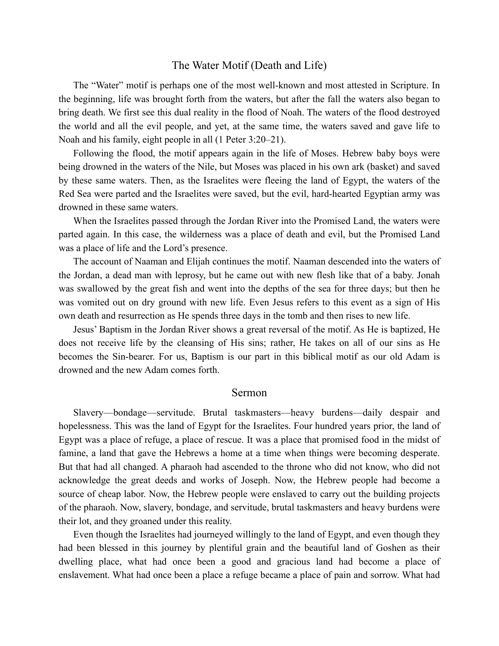### The Water Motif (Death and Life)

The "Water" motif is perhaps one of the most well-known and most attested in Scripture. In the beginning, life was brought forth from the waters, but after the fall the waters also began to bring death. We first see this dual reality in the flood of Noah. The waters of the flood destroyed the world and all the evil people, and yet, at the same time, the waters saved and gave life to Noah and his family, eight people in all (1 Peter 3:20–21).

Following the flood, the motif appears again in the life of Moses. Hebrew baby boys were being drowned in the waters of the Nile, but Moses was placed in his own ark (basket) and saved by these same waters. Then, as the Israelites were fleeing the land of Egypt, the waters of the Red Sea were parted and the Israelites were saved, but the evil, hard-hearted Egyptian army was drowned in these same waters.

When the Israelites passed through the Jordan River into the Promised Land, the waters were parted again. In this case, the wilderness was a place of death and evil, but the Promised Land was a place of life and the Lord's presence.

The account of Naaman and Elijah continues the motif. Naaman descended into the waters of the Jordan, a dead man with leprosy, but he came out with new flesh like that of a baby. Jonah was swallowed by the great fish and went into the depths of the sea for three days; but then he was vomited out on dry ground with new life. Even Jesus refers to this event as a sign of His own death and resurrection as He spends three days in the tomb and then rises to new life.

Jesus' Baptism in the Jordan River shows a great reversal of the motif. As He is baptized, He does not receive life by the cleansing of His sins; rather, He takes on all of our sins as He becomes the Sin-bearer. For us, Baptism is our part in this biblical motif as our old Adam is drowned and the new Adam comes forth.

#### Sermon

Slavery—bondage—servitude. Brutal taskmasters—heavy burdens—daily despair and hopelessness. This was the land of Egypt for the Israelites. Four hundred years prior, the land of Egypt was a place of refuge, a place of rescue. It was a place that promised food in the midst of famine, a land that gave the Hebrews a home at a time when things were becoming desperate. But that had all changed. A pharaoh had ascended to the throne who did not know, who did not acknowledge the great deeds and works of Joseph. Now, the Hebrew people had become a source of cheap labor. Now, the Hebrew people were enslaved to carry out the building projects of the pharaoh. Now, slavery, bondage, and servitude, brutal taskmasters and heavy burdens were their lot, and they groaned under this reality.

Even though the Israelites had journeyed willingly to the land of Egypt, and even though they had been blessed in this journey by plentiful grain and the beautiful land of Goshen as their dwelling place, what had once been a good and gracious land had become a place of enslavement. What had once been a place a refuge became a place of pain and sorrow. What had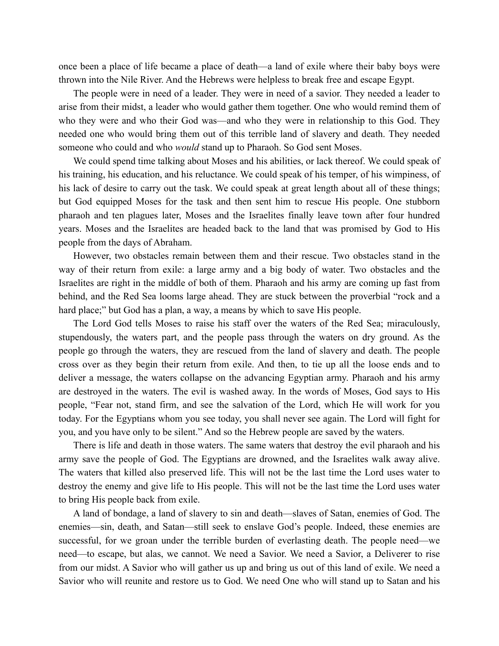once been a place of life became a place of death—a land of exile where their baby boys were thrown into the Nile River. And the Hebrews were helpless to break free and escape Egypt.

The people were in need of a leader. They were in need of a savior. They needed a leader to arise from their midst, a leader who would gather them together. One who would remind them of who they were and who their God was—and who they were in relationship to this God. They needed one who would bring them out of this terrible land of slavery and death. They needed someone who could and who *would* stand up to Pharaoh. So God sent Moses.

We could spend time talking about Moses and his abilities, or lack thereof. We could speak of his training, his education, and his reluctance. We could speak of his temper, of his wimpiness, of his lack of desire to carry out the task. We could speak at great length about all of these things; but God equipped Moses for the task and then sent him to rescue His people. One stubborn pharaoh and ten plagues later, Moses and the Israelites finally leave town after four hundred years. Moses and the Israelites are headed back to the land that was promised by God to His people from the days of Abraham.

However, two obstacles remain between them and their rescue. Two obstacles stand in the way of their return from exile: a large army and a big body of water. Two obstacles and the Israelites are right in the middle of both of them. Pharaoh and his army are coming up fast from behind, and the Red Sea looms large ahead. They are stuck between the proverbial "rock and a hard place;" but God has a plan, a way, a means by which to save His people.

The Lord God tells Moses to raise his staff over the waters of the Red Sea; miraculously, stupendously, the waters part, and the people pass through the waters on dry ground. As the people go through the waters, they are rescued from the land of slavery and death. The people cross over as they begin their return from exile. And then, to tie up all the loose ends and to deliver a message, the waters collapse on the advancing Egyptian army. Pharaoh and his army are destroyed in the waters. The evil is washed away. In the words of Moses, God says to His people, "Fear not, stand firm, and see the salvation of the Lord, which He will work for you today. For the Egyptians whom you see today, you shall never see again. The Lord will fight for you, and you have only to be silent." And so the Hebrew people are saved by the waters.

There is life and death in those waters. The same waters that destroy the evil pharaoh and his army save the people of God. The Egyptians are drowned, and the Israelites walk away alive. The waters that killed also preserved life. This will not be the last time the Lord uses water to destroy the enemy and give life to His people. This will not be the last time the Lord uses water to bring His people back from exile.

A land of bondage, a land of slavery to sin and death—slaves of Satan, enemies of God. The enemies—sin, death, and Satan—still seek to enslave God's people. Indeed, these enemies are successful, for we groan under the terrible burden of everlasting death. The people need—we need—to escape, but alas, we cannot. We need a Savior. We need a Savior, a Deliverer to rise from our midst. A Savior who will gather us up and bring us out of this land of exile. We need a Savior who will reunite and restore us to God. We need One who will stand up to Satan and his